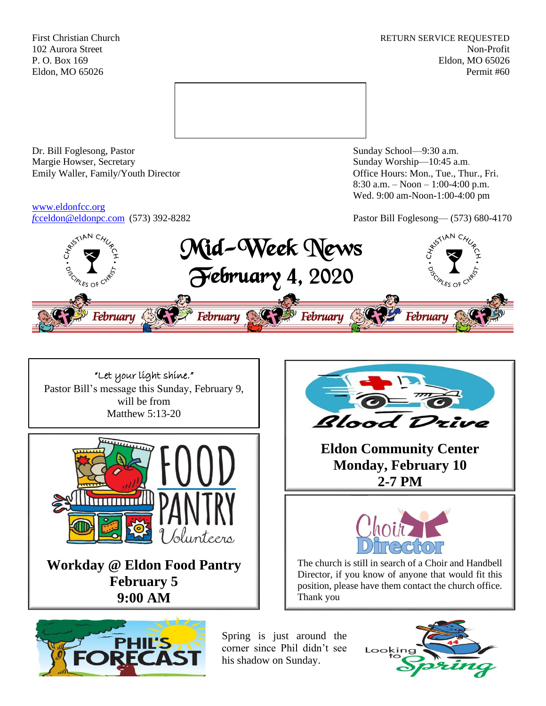First Christian Church **RETURN SERVICE REQUESTED** 102 Aurora Street Non-Profit P. O. Box 169 Eldon, MO 65026 Eldon, MO 65026 Permit #60



Dr. Bill Foglesong, Pastor Sunday School—9:30 a.m. Margie Howser, Secretary Sunday Worship—10:45 a.m. Emily Waller, Family/Youth Director **Containers** Office Hours: Mon., Tue., Thur., Fri.

[www.eldonfcc.org](http://www.eldonfcc.org/)

8:30 a.m. – Noon – 1:00-4:00 p.m. Wed. 9:00 am-Noon-1:00-4:00 pm

*f*[cceldon@eldonpc.com](mailto:fcceldon@eldonpc.com) (573) 392-8282 Pastor Bill Foglesong— (573) 680-4170



"Let your light shine." Pastor Bill's message this Sunday, February 9, will be from Matthew 5:13-20



**Workday @ Eldon Food Pantry February 5 9:00 AM**





**Eldon Community Center Monday, February 10 2-7 PM**



The church is still in search of a Choir and Handbell Director, if you know of anyone that would fit this position, please have them contact the church office. Thank you

Spring is just around the corner since Phil didn't see his shadow on Sunday.